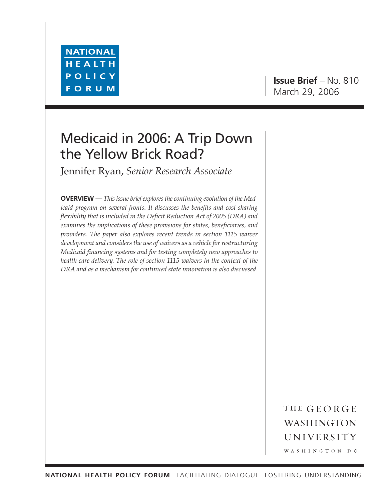

# Medicaid in 2006: A Trip Down the Yellow Brick Road?

Jennifer Ryan, *Senior Research Associate*

**OVERVIEW —** *This issue brief explores the continuing evolution of the Medicaid program on several fronts. It discusses the benefits and cost-sharing flexibility that is included in the Deficit Reduction Act of 2005 (DRA) and examines the implications of these provisions for states, beneficiaries, and providers. The paper also explores recent trends in section 1115 waiver development and considers the use of waivers as a vehicle for restructuring Medicaid financing systems and for testing completely new approaches to health care delivery. The role of section 1115 waivers in the context of the DRA and as a mechanism for continued state innovation is also discussed.*

> THE GEORGE WASHINGTON UNIVERSITY WASHINGTON DC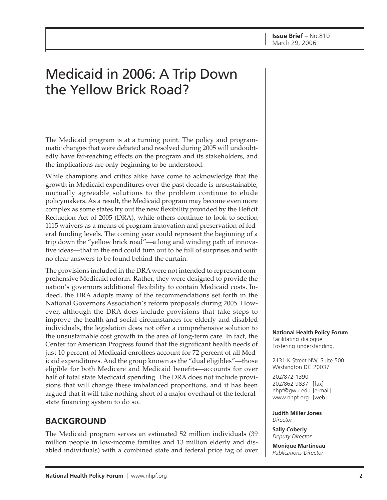# Medicaid in 2006: A Trip Down the Yellow Brick Road?

The Medicaid program is at a turning point. The policy and programmatic changes that were debated and resolved during 2005 will undoubtedly have far-reaching effects on the program and its stakeholders, and the implications are only beginning to be understood.

While champions and critics alike have come to acknowledge that the growth in Medicaid expenditures over the past decade is unsustainable, mutually agreeable solutions to the problem continue to elude policymakers. As a result, the Medicaid program may become even more complex as some states try out the new flexibility provided by the Deficit Reduction Act of 2005 (DRA), while others continue to look to section 1115 waivers as a means of program innovation and preservation of federal funding levels. The coming year could represent the beginning of a trip down the "yellow brick road"—a long and winding path of innovative ideas—that in the end could turn out to be full of surprises and with no clear answers to be found behind the curtain.

The provisions included in the DRA were not intended to represent comprehensive Medicaid reform. Rather, they were designed to provide the nation's governors additional flexibility to contain Medicaid costs. Indeed, the DRA adopts many of the recommendations set forth in the National Governors Association's reform proposals during 2005. However, although the DRA does include provisions that take steps to improve the health and social circumstances for elderly and disabled individuals, the legislation does not offer a comprehensive solution to the unsustainable cost growth in the area of long-term care. In fact, the Center for American Progress found that the significant health needs of just 10 percent of Medicaid enrollees account for 72 percent of all Medicaid expenditures. And the group known as the "dual eligibles"—those eligible for both Medicare and Medicaid benefits—accounts for over half of total state Medicaid spending. The DRA does not include provisions that will change these imbalanced proportions, and it has been argued that it will take nothing short of a major overhaul of the federalstate financing system to do so.

# **BACKGROUND**

The Medicaid program serves an estimated 52 million individuals (39 million people in low-income families and 13 million elderly and disabled individuals) with a combined state and federal price tag of over **National Health Policy Forum** Facilitating dialogue. Fostering understanding.

2131 K Street NW, Suite 500 Washington DC 20037

202/872-1390 202/862-9837 [fax] nhpf@gwu.edu [e-mail] www.nhpf.org [web]

**Judith Miller Jones** *Director*

**Sally Coberly** *Deputy Director*

**Monique Martineau** *Publications Director*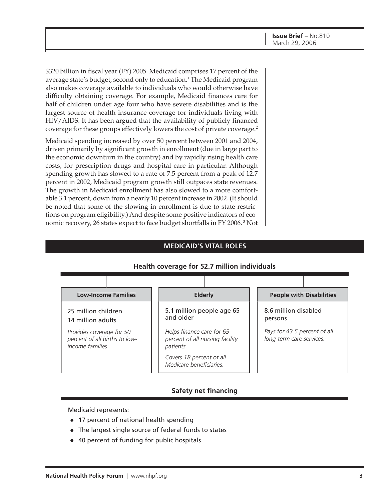\$320 billion in fiscal year (FY) 2005. Medicaid comprises 17 percent of the average state's budget, second only to education.<sup>1</sup> The Medicaid program also makes coverage available to individuals who would otherwise have difficulty obtaining coverage. For example, Medicaid finances care for half of children under age four who have severe disabilities and is the largest source of health insurance coverage for individuals living with HIV/AIDS. It has been argued that the availability of publicly financed coverage for these groups effectively lowers the cost of private coverage.<sup>2</sup>

Medicaid spending increased by over 50 percent between 2001 and 2004, driven primarily by significant growth in enrollment (due in large part to the economic downturn in the country) and by rapidly rising health care costs, for prescription drugs and hospital care in particular. Although spending growth has slowed to a rate of 7.5 percent from a peak of 12.7 percent in 2002, Medicaid program growth still outpaces state revenues. The growth in Medicaid enrollment has also slowed to a more comfortable 3.1 percent, down from a nearly 10 percent increase in 2002. (It should be noted that some of the slowing in enrollment is due to state restrictions on program eligibility.) And despite some positive indicators of economic recovery, 26 states expect to face budget shortfalls in FY 2006. 3 Not

#### **MEDICAID'S VITAL ROLES**

#### **Health coverage for 52.7 million individuals**



#### **Safety net financing**

Medicaid represents:

- 17 percent of national health spending
- The largest single source of federal funds to states
- 40 percent of funding for public hospitals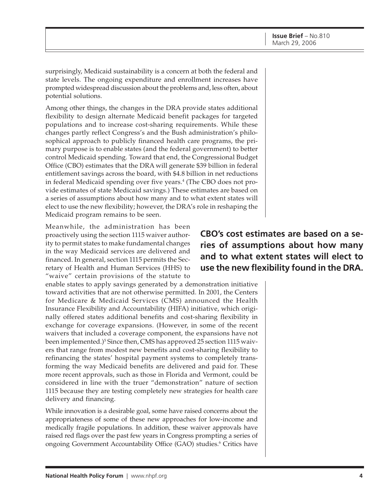surprisingly, Medicaid sustainability is a concern at both the federal and state levels. The ongoing expenditure and enrollment increases have prompted widespread discussion about the problems and, less often, about potential solutions.

Among other things, the changes in the DRA provide states additional flexibility to design alternate Medicaid benefit packages for targeted populations and to increase cost-sharing requirements. While these changes partly reflect Congress's and the Bush administration's philosophical approach to publicly financed health care programs, the primary purpose is to enable states (and the federal government) to better control Medicaid spending. Toward that end, the Congressional Budget Office (CBO) estimates that the DRA will generate \$39 billion in federal entitlement savings across the board, with \$4.8 billion in net reductions in federal Medicaid spending over five years.<sup>4</sup> (The CBO does not provide estimates of state Medicaid savings.) These estimates are based on a series of assumptions about how many and to what extent states will elect to use the new flexibility; however, the DRA's role in reshaping the Medicaid program remains to be seen.

Meanwhile, the administration has been proactively using the section 1115 waiver authority to permit states to make fundamental changes in the way Medicaid services are delivered and financed. In general, section 1115 permits the Secretary of Health and Human Services (HHS) to "waive" certain provisions of the statute to

enable states to apply savings generated by a demonstration initiative toward activities that are not otherwise permitted. In 2001, the Centers for Medicare & Medicaid Services (CMS) announced the Health Insurance Flexibility and Accountability (HIFA) initiative, which originally offered states additional benefits and cost-sharing flexibility in exchange for coverage expansions. (However, in some of the recent waivers that included a coverage component, the expansions have not been implemented.)<sup>5</sup> Since then, CMS has approved 25 section 1115 waivers that range from modest new benefits and cost-sharing flexibility to refinancing the states' hospital payment systems to completely transforming the way Medicaid benefits are delivered and paid for. These more recent approvals, such as those in Florida and Vermont, could be considered in line with the truer "demonstration" nature of section 1115 because they are testing completely new strategies for health care delivery and financing.

While innovation is a desirable goal, some have raised concerns about the appropriateness of some of these new approaches for low-income and medically fragile populations. In addition, these waiver approvals have raised red flags over the past few years in Congress prompting a series of ongoing Government Accountability Office (GAO) studies.<sup>6</sup> Critics have

# **CBO's cost estimates are based on a series of assumptions about how many and to what extent states will elect to use the new flexibility found in the DRA.**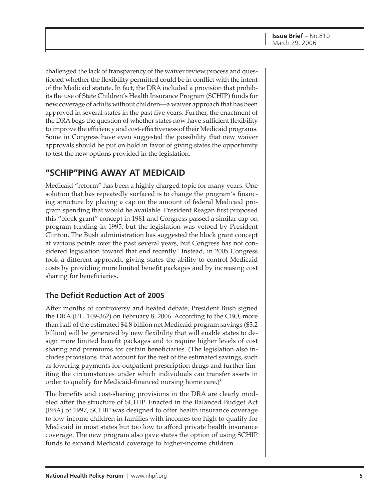challenged the lack of transparency of the waiver review process and questioned whether the flexibility permitted could be in conflict with the intent of the Medicaid statute. In fact, the DRA included a provision that prohibits the use of State Children's Health Insurance Program (SCHIP) funds for new coverage of adults without children—a waiver approach that has been approved in several states in the past five years. Further, the enactment of the DRA begs the question of whether states now have sufficient flexibility to improve the efficiency and cost-effectiveness of their Medicaid programs. Some in Congress have even suggested the possibility that new waiver approvals should be put on hold in favor of giving states the opportunity to test the new options provided in the legislation.

# **"SCHIP"PING AWAY AT MEDICAID**

Medicaid "reform" has been a highly charged topic for many years. One solution that has repeatedly surfaced is to change the program's financing structure by placing a cap on the amount of federal Medicaid program spending that would be available. President Reagan first proposed this "block grant" concept in 1981 and Congress passed a similar cap on program funding in 1995, but the legislation was vetoed by President Clinton. The Bush administration has suggested the block grant concept at various points over the past several years, but Congress has not considered legislation toward that end recently.<sup>7</sup> Instead, in 2005 Congress took a different approach, giving states the ability to control Medicaid costs by providing more limited benefit packages and by increasing cost sharing for beneficiaries.

## **The Deficit Reduction Act of 2005**

After months of controversy and heated debate, President Bush signed the DRA (P.L. 109-362) on February 8, 2006. According to the CBO, more than half of the estimated \$4.8 billion net Medicaid program savings (\$3.2 billion) will be generated by new flexibility that will enable states to design more limited benefit packages and to require higher levels of cost sharing and premiums for certain beneficiaries. (The legislation also includes provisions that account for the rest of the estimated savings, such as lowering payments for outpatient prescription drugs and further limiting the circumstances under which individuals can transfer assets in order to qualify for Medicaid-financed nursing home care.)<sup>8</sup>

The benefits and cost-sharing provisions in the DRA are clearly modeled after the structure of SCHIP. Enacted in the Balanced Budget Act (BBA) of 1997, SCHIP was designed to offer health insurance coverage to low-income children in families with incomes too high to qualify for Medicaid in most states but too low to afford private health insurance coverage. The new program also gave states the option of using SCHIP funds to expand Medicaid coverage to higher-income children.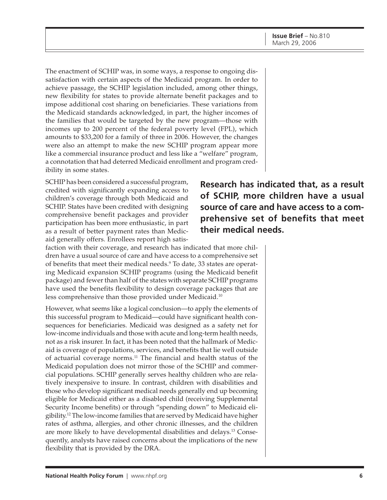The enactment of SCHIP was, in some ways, a response to ongoing dissatisfaction with certain aspects of the Medicaid program. In order to achieve passage, the SCHIP legislation included, among other things, new flexibility for states to provide alternate benefit packages and to impose additional cost sharing on beneficiaries. These variations from the Medicaid standards acknowledged, in part, the higher incomes of the families that would be targeted by the new program—those with incomes up to 200 percent of the federal poverty level (FPL), which amounts to \$33,200 for a family of three in 2006. However, the changes were also an attempt to make the new SCHIP program appear more like a commercial insurance product and less like a "welfare" program, a connotation that had deterred Medicaid enrollment and program credibility in some states.

SCHIP has been considered a successful program, credited with significantly expanding access to children's coverage through both Medicaid and SCHIP. States have been credited with designing comprehensive benefit packages and provider participation has been more enthusiastic, in part as a result of better payment rates than Medicaid generally offers. Enrollees report high satis-

**Research has indicated that, as a result of SCHIP, more children have a usual source of care and have access to a comprehensive set of benefits that meet their medical needs.**

faction with their coverage, and research has indicated that more children have a usual source of care and have access to a comprehensive set of benefits that meet their medical needs.9 To date, 33 states are operating Medicaid expansion SCHIP programs (using the Medicaid benefit package) and fewer than half of the states with separate SCHIP programs have used the benefits flexibility to design coverage packages that are less comprehensive than those provided under Medicaid.10

However, what seems like a logical conclusion—to apply the elements of this successful program to Medicaid—could have significant health consequences for beneficiaries. Medicaid was designed as a safety net for low-income individuals and those with acute and long-term health needs, not as a risk insurer. In fact, it has been noted that the hallmark of Medicaid is coverage of populations, services, and benefits that lie well outside of actuarial coverage norms.11 The financial and health status of the Medicaid population does not mirror those of the SCHIP and commercial populations. SCHIP generally serves healthy children who are relatively inexpensive to insure. In contrast, children with disabilities and those who develop significant medical needs generally end up becoming eligible for Medicaid either as a disabled child (receiving Supplemental Security Income benefits) or through "spending down" to Medicaid eligibility.12 The low-income families that are served by Medicaid have higher rates of asthma, allergies, and other chronic illnesses, and the children are more likely to have developmental disabilities and delays.13 Consequently, analysts have raised concerns about the implications of the new flexibility that is provided by the DRA.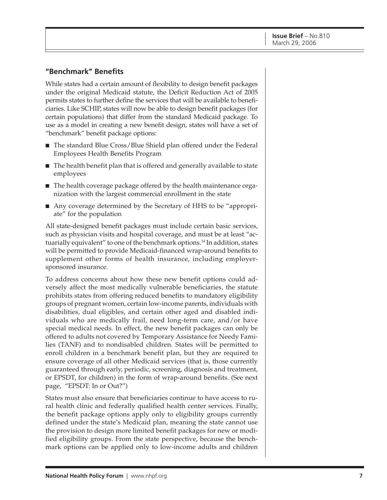### **"Benchmark" Benefits**

While states had a certain amount of flexibility to design benefit packages under the original Medicaid statute, the Deficit Reduction Act of 2005 permits states to further define the services that will be available to beneficiaries. Like SCHIP, states will now be able to design benefit packages (for certain populations) that differ from the standard Medicaid package. To use as a model in creating a new benefit design, states will have a set of "benchmark" benefit package options:

- The standard Blue Cross/Blue Shield plan offered under the Federal Employees Health Benefits Program
- The health benefit plan that is offered and generally available to state employees
- The health coverage package offered by the health maintenance organization with the largest commercial enrollment in the state
- Any coverage determined by the Secretary of HHS to be "appropriate" for the population

All state-designed benefit packages must include certain basic services, such as physician visits and hospital coverage, and must be at least "actuarially equivalent" to one of the benchmark options.<sup>14</sup> In addition, states will be permitted to provide Medicaid-financed wrap-around benefits to supplement other forms of health insurance, including employersponsored insurance.

To address concerns about how these new benefit options could adversely affect the most medically vulnerable beneficiaries, the statute prohibits states from offering reduced benefits to mandatory eligibility groups of pregnant women, certain low-income parents, individuals with disabilities, dual eligibles, and certain other aged and disabled individuals who are medically frail, need long-term care, and/or have special medical needs. In effect, the new benefit packages can only be offered to adults not covered by Temporary Assistance for Needy Families (TANF) and to nondisabled children. States will be permitted to enroll children in a benchmark benefit plan, but they are required to ensure coverage of all other Medicaid services (that is, those currently guaranteed through early, periodic, screening, diagnosis and treatment, or EPSDT, for children) in the form of wrap-around benefits. (See next page, "EPSDT: In or Out?")

States must also ensure that beneficiaries continue to have access to rural health clinic and federally qualified health center services. Finally, the benefit package options apply only to eligibility groups currently defined under the state's Medicaid plan, meaning the state cannot use the provision to design more limited benefit packages for new or modified eligibility groups. From the state perspective, because the benchmark options can be applied only to low-income adults and children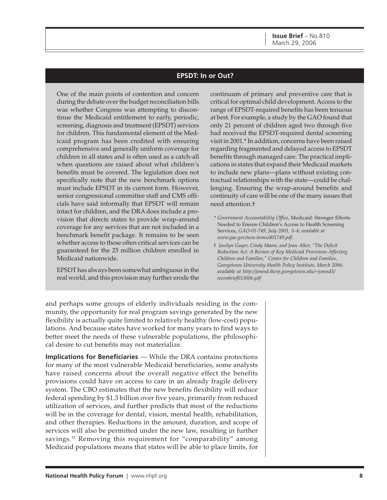#### **EPSDT: In or Out?**

One of the main points of contention and concern during the debate over the budget reconciliation bills was whether Congress was attempting to discontinue the Medicaid entitlement to early, periodic, screening, diagnosis and treatment (EPSDT) services for children. This fundamental element of the Medicaid program has been credited with ensuring comprehensive and generally uniform coverage for children in all states and is often used as a catch-all when questions are raised about what children's benefits must be covered. The legislation does not specifically note that the new benchmark options must include EPSDT in its current form. However, senior congressional committee staff and CMS officials have said informally that EPSDT will remain intact for children, and the DRA does include a provision that directs states to provide wrap-around coverage for any services that are not included in a benchmark benefit package. It remains to be seen whether access to these often critical services can be guaranteed for the 25 million children enrolled in Medicaid nationwide.

EPSDT has always been somewhat ambiguous in the real world, and this provision may further erode the continuum of primary and preventive care that is critical for optimal child development. Access to the range of EPSDT-required benefits has been tenuous at best. For example, a study by the GAO found that only 21 percent of children aged two through five had received the EPSDT-required dental screening visit in 2001.\* In addition, concerns have been raised regarding fragmented and delayed access to EPSDT benefits through managed care. The practical implications in states that expand their Medicaid markets to include new plans—plans without existing contractual relationships with the state—could be challenging. Ensuring the wrap-around benefits and continuity of care will be one of the many issues that need attention.†

- \* *Government Accountability Office,* Medicaid: Stronger Efforts Needed to Ensure Children's Access to Health Screening Services, *GAO-01-749, July 2001, 3–4; available at www.gao.gov/new.items/d01749.pdf.*
- † *Jocelyn Guyer, Cindy Mann, and Joan Alker, "The Deficit Reduction Act: A Review of Key Medicaid Provisions Affecting Children and Families," Center for Children and Families, Georgetown University Health Policy Institute, March 2006; available at http://jonesd.ihcrp.georgetown.edu/~jonesd3/ reconbrief013006.pdf*

and perhaps some groups of elderly individuals residing in the community, the opportunity for real program savings generated by the new flexibility is actually quite limited to relatively healthy (low-cost) populations. And because states have worked for many years to find ways to better meet the needs of these vulnerable populations, the philosophical desire to cut benefits may not materialize.

**Implications for Beneficiaries** — While the DRA contains protections for many of the most vulnerable Medicaid beneficiaries, some analysts have raised concerns about the overall negative effect the benefits provisions could have on access to care in an already fragile delivery system. The CBO estimates that the new benefits flexibility will reduce federal spending by \$1.3 billion over five years, primarily from reduced utilization of services, and further predicts that most of the reductions will be in the coverage for dental, vision, mental health, rehabilitation, and other therapies. Reductions in the amount, duration, and scope of services will also be permitted under the new law, resulting in further savings.15 Removing this requirement for "comparability" among Medicaid populations means that states will be able to place limits, for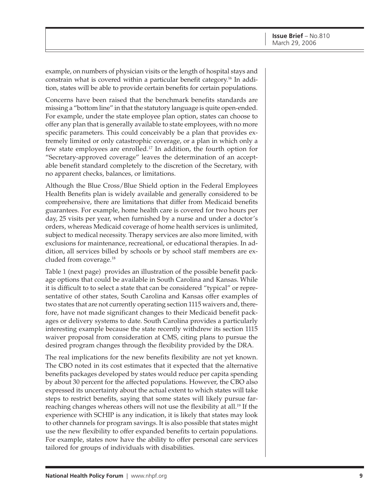example, on numbers of physician visits or the length of hospital stays and constrain what is covered within a particular benefit category.16 In addition, states will be able to provide certain benefits for certain populations.

Concerns have been raised that the benchmark benefits standards are missing a "bottom line" in that the statutory language is quite open-ended. For example, under the state employee plan option, states can choose to offer any plan that is generally available to state employees, with no more specific parameters. This could conceivably be a plan that provides extremely limited or only catastrophic coverage, or a plan in which only a few state employees are enrolled.17 In addition, the fourth option for "Secretary-approved coverage" leaves the determination of an acceptable benefit standard completely to the discretion of the Secretary, with no apparent checks, balances, or limitations.

Although the Blue Cross/Blue Shield option in the Federal Employees Health Benefits plan is widely available and generally considered to be comprehensive, there are limitations that differ from Medicaid benefits guarantees. For example, home health care is covered for two hours per day, 25 visits per year, when furnished by a nurse and under a doctor's orders, whereas Medicaid coverage of home health services is unlimited, subject to medical necessity. Therapy services are also more limited, with exclusions for maintenance, recreational, or educational therapies. In addition, all services billed by schools or by school staff members are excluded from coverage.18

Table 1 (next page) provides an illustration of the possible benefit package options that could be available in South Carolina and Kansas. While it is difficult to to select a state that can be considered "typical" or representative of other states, South Carolina and Kansas offer examples of two states that are not currently operating section 1115 waivers and, therefore, have not made significant changes to their Medicaid benefit packages or delivery systems to date. South Carolina provides a particularly interesting example because the state recently withdrew its section 1115 waiver proposal from consideration at CMS, citing plans to pursue the desired program changes through the flexibility provided by the DRA.

The real implications for the new benefits flexibility are not yet known. The CBO noted in its cost estimates that it expected that the alternative benefits packages developed by states would reduce per capita spending by about 30 percent for the affected populations. However, the CBO also expressed its uncertainty about the actual extent to which states will take steps to restrict benefits, saying that some states will likely pursue farreaching changes whereas others will not use the flexibility at all.<sup>19</sup> If the experience with SCHIP is any indication, it is likely that states may look to other channels for program savings. It is also possible that states might use the new flexibility to offer expanded benefits to certain populations. For example, states now have the ability to offer personal care services tailored for groups of individuals with disabilities.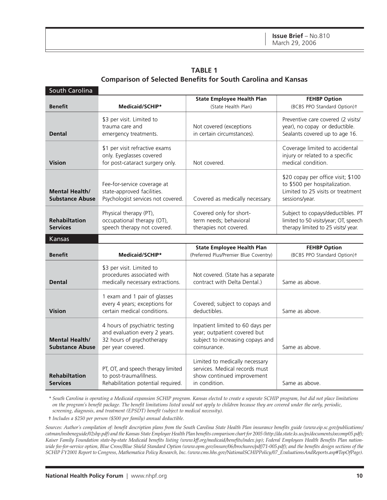**TABLE 1 Comparison of Selected Benefits for South Carolina and Kansas**

| South Carolina                                  |                                                                                                                   |                                                                                                                      |                                                                                                                            |  |  |
|-------------------------------------------------|-------------------------------------------------------------------------------------------------------------------|----------------------------------------------------------------------------------------------------------------------|----------------------------------------------------------------------------------------------------------------------------|--|--|
| <b>Benefit</b>                                  | Medicaid/SCHIP*                                                                                                   | <b>State Employee Health Plan</b><br>(State Health Plan)                                                             | <b>FEHBP Option</b><br>(BCBS PPO Standard Option)t                                                                         |  |  |
| <b>Dental</b>                                   | \$3 per visit. Limited to<br>trauma care and<br>emergency treatments.                                             | Not covered (exceptions<br>in certain circumstances).                                                                | Preventive care covered (2 visits/<br>year), no copay or deductible.<br>Sealants covered up to age 16.                     |  |  |
| <b>Vision</b>                                   | \$1 per visit refractive exams<br>only. Eyeglasses covered<br>for post-cataract surgery only.                     | Not covered.                                                                                                         | Coverage limited to accidental<br>injury or related to a specific<br>medical condition.                                    |  |  |
| <b>Mental Health/</b><br><b>Substance Abuse</b> | Fee-for-service coverage at<br>state-approved facilities.<br>Psychologist services not covered.                   | Covered as medically necessary.                                                                                      | \$20 copay per office visit; \$100<br>to \$500 per hospitalization.<br>Limited to 25 visits or treatment<br>sessions/year. |  |  |
| <b>Rehabiltation</b><br><b>Services</b>         | Physical therapy (PT),<br>occupational therapy (OT),<br>speech therapy not covered.                               | Covered only for short-<br>term needs; behavioral<br>therapies not covered.                                          | Subject to copays/deductibles. PT<br>limited to 50 visits/year; OT, speech<br>therapy limited to 25 visits/year.           |  |  |
| Kansas                                          |                                                                                                                   |                                                                                                                      |                                                                                                                            |  |  |
| <b>Benefit</b>                                  | Medicaid/SCHIP*                                                                                                   | <b>State Employee Health Plan</b><br>(Preferred Plus/Premier Blue Coventry)                                          | <b>FEHBP Option</b><br>(BCBS PPO Standard Option)t                                                                         |  |  |
| <b>Dental</b>                                   | \$3 per visit. Limited to<br>procedures associated with<br>medically necessary extractions.                       | Not covered. (State has a separate<br>contract with Delta Dental.)                                                   | Same as above.                                                                                                             |  |  |
| <b>Vision</b>                                   | 1 exam and 1 pair of glasses<br>every 4 years; exceptions for<br>certain medical conditions.                      | Covered; subject to copays and<br>deductibles.                                                                       | Same as above.                                                                                                             |  |  |
| <b>Mental Health/</b><br><b>Substance Abuse</b> | 4 hours of psychiatric testing<br>and evaluation every 2 years.<br>32 hours of psychotherapy<br>per year covered. | Inpatient limited to 60 days per<br>year; outpatient covered but<br>subject to increasing copays and<br>coinsurance. | Same as above.                                                                                                             |  |  |
| <b>Rehabiltation</b><br><b>Services</b>         | PT, OT, and speech therapy limited<br>to post-trauma/illness.<br>Rehabilitation potential required.               | Limited to medically necessary<br>services. Medical records must<br>show continued improvement<br>in condition.      | Same as above.                                                                                                             |  |  |

\* *South Carolina is operating a Medicaid expansion SCHIP program. Kansas elected to create a separate SCHIP program, but did not place limitations on the program's benefit package. The benefit limitations listed would not apply to children because they are covered under the early, periodic, screening, diagnosis, and treatment (EPSDT) benefit (subject to medical necessity).*

† *Includes a \$250 per person (\$500 per family) annual deductible.*

*Sources: Author's compilation of: benefit description plans from the South Carolina State Health Plan insurance benefits guide (www.eip.sc.gov/publications/ catman/insbeneguide/02shp.pdf) and the Kansas State Employee Health Plan benefits comparison chart for 2005 (http://da.state.ks.us/ps/documents/oecomp05.pdf); Kaiser Family Foundation state-by-state Medicaid benefits listing (www.kff.org/medicaid/benefits/index.jsp); Federal Employees Health Benefits Plan nationwide fee-for-service option, Blue Cross/Blue Shield Standard Option (www.opm.gov/insure/06/brochures/pdf/71-005.pdf); and the benefits design sections of the SCHIP FY2001 Report to Congress, Mathematica Policy Research, Inc. (www.cms.hhs.gov/NationalSCHIPPolicy/07\_EvaluationsAndReports.asp#TopOfPage).*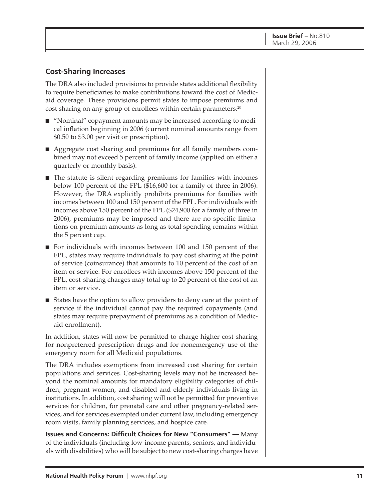#### **Cost-Sharing Increases**

The DRA also included provisions to provide states additional flexibility to require beneficiaries to make contributions toward the cost of Medicaid coverage. These provisions permit states to impose premiums and cost sharing on any group of enrollees within certain parameters:<sup>20</sup>

- "Nominal" copayment amounts may be increased according to medical inflation beginning in 2006 (current nominal amounts range from \$0.50 to \$3.00 per visit or prescription).
- Aggregate cost sharing and premiums for all family members combined may not exceed 5 percent of family income (applied on either a quarterly or monthly basis).
- The statute is silent regarding premiums for families with incomes below 100 percent of the FPL (\$16,600 for a family of three in 2006). However, the DRA explicitly prohibits premiums for families with incomes between 100 and 150 percent of the FPL. For individuals with incomes above 150 percent of the FPL (\$24,900 for a family of three in 2006), premiums may be imposed and there are no specific limitations on premium amounts as long as total spending remains within the 5 percent cap.
- For individuals with incomes between 100 and 150 percent of the FPL, states may require individuals to pay cost sharing at the point of service (coinsurance) that amounts to 10 percent of the cost of an item or service. For enrollees with incomes above 150 percent of the FPL, cost-sharing charges may total up to 20 percent of the cost of an item or service.
- States have the option to allow providers to deny care at the point of service if the individual cannot pay the required copayments (and states may require prepayment of premiums as a condition of Medicaid enrollment).

In addition, states will now be permitted to charge higher cost sharing for nonpreferred prescription drugs and for nonemergency use of the emergency room for all Medicaid populations.

The DRA includes exemptions from increased cost sharing for certain populations and services. Cost-sharing levels may not be increased beyond the nominal amounts for mandatory eligibility categories of children, pregnant women, and disabled and elderly individuals living in institutions. In addition, cost sharing will not be permitted for preventive services for children, for prenatal care and other pregnancy-related services, and for services exempted under current law, including emergency room visits, family planning services, and hospice care.

**Issues and Concerns: Difficult Choices for New "Consumers" —** Many of the individuals (including low-income parents, seniors, and individuals with disabilities) who will be subject to new cost-sharing charges have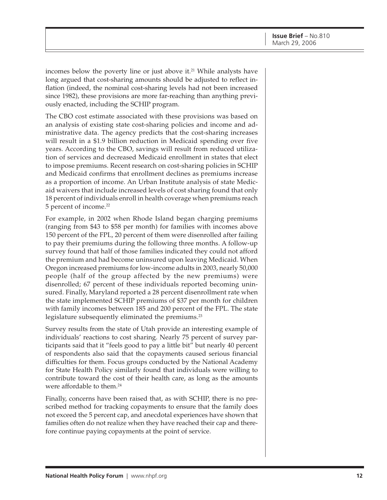incomes below the poverty line or just above it.<sup>21</sup> While analysts have long argued that cost-sharing amounts should be adjusted to reflect inflation (indeed, the nominal cost-sharing levels had not been increased since 1982), these provisions are more far-reaching than anything previously enacted, including the SCHIP program.

The CBO cost estimate associated with these provisions was based on an analysis of existing state cost-sharing policies and income and administrative data. The agency predicts that the cost-sharing increases will result in a \$1.9 billion reduction in Medicaid spending over five years. According to the CBO, savings will result from reduced utilization of services and decreased Medicaid enrollment in states that elect to impose premiums. Recent research on cost-sharing policies in SCHIP and Medicaid confirms that enrollment declines as premiums increase as a proportion of income. An Urban Institute analysis of state Medicaid waivers that include increased levels of cost sharing found that only 18 percent of individuals enroll in health coverage when premiums reach 5 percent of income.<sup>22</sup>

For example, in 2002 when Rhode Island began charging premiums (ranging from \$43 to \$58 per month) for families with incomes above 150 percent of the FPL, 20 percent of them were disenrolled after failing to pay their premiums during the following three months. A follow-up survey found that half of those families indicated they could not afford the premium and had become uninsured upon leaving Medicaid. When Oregon increased premiums for low-income adults in 2003, nearly 50,000 people (half of the group affected by the new premiums) were disenrolled; 67 percent of these individuals reported becoming uninsured. Finally, Maryland reported a 28 percent disenrollment rate when the state implemented SCHIP premiums of \$37 per month for children with family incomes between 185 and 200 percent of the FPL. The state legislature subsequently eliminated the premiums.<sup>23</sup>

Survey results from the state of Utah provide an interesting example of individuals' reactions to cost sharing. Nearly 75 percent of survey participants said that it "feels good to pay a little bit" but nearly 40 percent of respondents also said that the copayments caused serious financial difficulties for them. Focus groups conducted by the National Academy for State Health Policy similarly found that individuals were willing to contribute toward the cost of their health care, as long as the amounts were affordable to them.<sup>24</sup>

Finally, concerns have been raised that, as with SCHIP, there is no prescribed method for tracking copayments to ensure that the family does not exceed the 5 percent cap, and anecdotal experiences have shown that families often do not realize when they have reached their cap and therefore continue paying copayments at the point of service.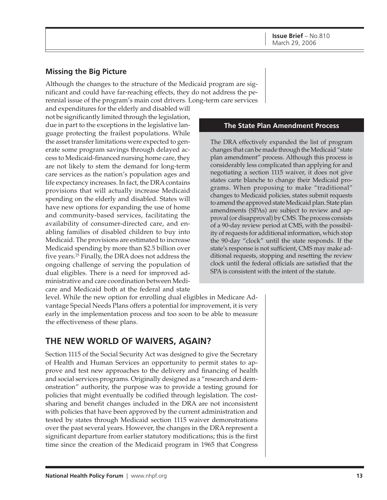### **Missing the Big Picture**

Although the changes to the structure of the Medicaid program are significant and could have far-reaching effects, they do not address the perennial issue of the program's main cost drivers. Long-term care services

and expenditures for the elderly and disabled will not be significantly limited through the legislation, due in part to the exceptions in the legislative language protecting the frailest populations. While the asset transfer limitations were expected to generate some program savings through delayed access to Medicaid-financed nursing home care, they are not likely to stem the demand for long-term care services as the nation's population ages and life expectancy increases. In fact, the DRA contains provisions that will actually increase Medicaid spending on the elderly and disabled. States will have new options for expanding the use of home and community-based services, facilitating the availability of consumer-directed care, and enabling families of disabled children to buy into Medicaid. The provisions are estimated to increase Medicaid spending by more than \$2.5 billion over five years.25 Finally, the DRA does not address the ongoing challenge of serving the population of dual eligibles. There is a need for improved administrative and care coordination between Medicare and Medicaid both at the federal and state

#### **The State Plan Amendment Process**

The DRA effectively expanded the list of program changes that can be made through the Medicaid "state plan amendment" process. Although this process is considerably less complicated than applying for and negotiating a section 1115 waiver, it does not give states carte blanche to change their Medicaid programs. When proposing to make "traditional" changes to Medicaid policies, states submit requests to amend the approved state Medicaid plan. State plan amendments (SPAs) are subject to review and approval (or disapproval) by CMS. The process consists of a 90-day review period at CMS, with the possibility of requests for additional information, which stop the 90-day "clock" until the state responds. If the state's response is not sufficient, CMS may make additional requests, stopping and resetting the review clock until the federal officials are satisfied that the SPA is consistent with the intent of the statute.

level. While the new option for enrolling dual eligibles in Medicare Advantage Special Needs Plans offers a potential for improvement, it is very early in the implementation process and too soon to be able to measure the effectiveness of these plans.

# **THE NEW WORLD OF WAIVERS, AGAIN?**

Section 1115 of the Social Security Act was designed to give the Secretary of Health and Human Services an opportunity to permit states to approve and test new approaches to the delivery and financing of health and social services programs. Originally designed as a "research and demonstration" authority, the purpose was to provide a testing ground for policies that might eventually be codified through legislation. The costsharing and benefit changes included in the DRA are not inconsistent with policies that have been approved by the current administration and tested by states through Medicaid section 1115 waiver demonstrations over the past several years. However, the changes in the DRA represent a significant departure from earlier statutory modifications; this is the first time since the creation of the Medicaid program in 1965 that Congress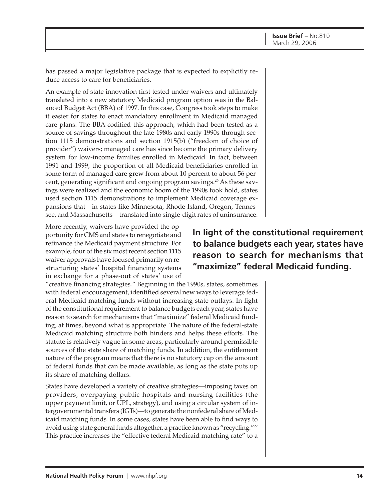has passed a major legislative package that is expected to explicitly reduce access to care for beneficiaries.

An example of state innovation first tested under waivers and ultimately translated into a new statutory Medicaid program option was in the Balanced Budget Act (BBA) of 1997. In this case, Congress took steps to make it easier for states to enact mandatory enrollment in Medicaid managed care plans. The BBA codified this approach, which had been tested as a source of savings throughout the late 1980s and early 1990s through section 1115 demonstrations and section 1915(b) ("freedom of choice of provider") waivers; managed care has since become the primary delivery system for low-income families enrolled in Medicaid. In fact, between 1991 and 1999, the proportion of all Medicaid beneficiaries enrolled in some form of managed care grew from about 10 percent to about 56 percent, generating significant and ongoing program savings.<sup>26</sup> As these savings were realized and the economic boom of the 1990s took hold, states used section 1115 demonstrations to implement Medicaid coverage expansions that—in states like Minnesota, Rhode Island, Oregon, Tennessee, and Massachusetts—translated into single-digit rates of uninsurance.

More recently, waivers have provided the opportunity for CMS and states to renegotiate and refinance the Medicaid payment structure. For example, four of the six most recent section 1115 waiver approvals have focused primarily on restructuring states' hospital financing systems in exchange for a phase-out of states' use of

**In light of the constitutional requirement to balance budgets each year, states have reason to search for mechanisms that "maximize" federal Medicaid funding.**

"creative financing strategies." Beginning in the 1990s, states, sometimes with federal encouragement, identified several new ways to leverage federal Medicaid matching funds without increasing state outlays. In light of the constitutional requirement to balance budgets each year, states have reason to search for mechanisms that "maximize" federal Medicaid funding, at times, beyond what is appropriate. The nature of the federal-state Medicaid matching structure both hinders and helps these efforts. The statute is relatively vague in some areas, particularly around permissible sources of the state share of matching funds. In addition, the entitlement nature of the program means that there is no statutory cap on the amount of federal funds that can be made available, as long as the state puts up its share of matching dollars.

States have developed a variety of creative strategies—imposing taxes on providers, overpaying public hospitals and nursing facilities (the upper payment limit, or UPL, strategy), and using a circular system of intergovernmental transfers (IGTs)—to generate the nonfederal share of Medicaid matching funds. In some cases, states have been able to find ways to avoid using state general funds altogether, a practice known as "recycling."27 This practice increases the "effective federal Medicaid matching rate" to a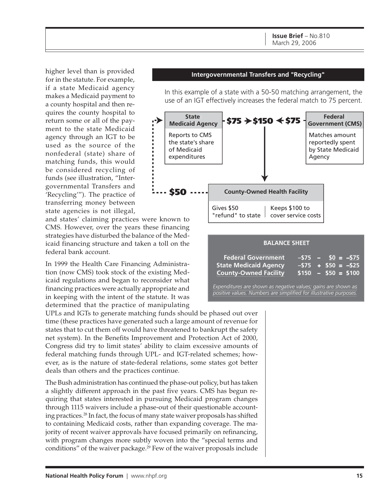higher level than is provided for in the statute. For example, if a state Medicaid agency makes a Medicaid payment to a county hospital and then requires the county hospital to return some or all of the payment to the state Medicaid agency through an IGT to be used as the source of the nonfederal (state) share of matching funds, this would be considered recycling of funds (see illustration, "Intergovernmental Transfers and 'Recycling'"). The practice of transferring money between state agencies is not illegal,

Matches amount reportedly spent by State Medicaid Agency **Federal Government (CMS) \$75 \$150 \$75** Keeps \$100 to cover service costs Gives \$50 "refund" to state **County-Owned Health Facility** Reports to CMS the state's share of Medicaid expenditures **State Medicaid Agency \$50**

**Intergovernmental Transfers and "Recycling"**

In this example of a state with a 50-50 matching arrangement, the use of an IGT effectively increases the federal match to 75 percent.

and states' claiming practices were known to CMS. However, over the years these financing strategies have disturbed the balance of the Medicaid financing structure and taken a toll on the federal bank account.

In 1999 the Health Care Financing Administration (now CMS) took stock of the existing Medicaid regulations and began to reconsider what financing practices were actually appropriate and in keeping with the intent of the statute. It was determined that the practice of manipulating

UPLs and IGTs to generate matching funds should be phased out over time (these practices have generated such a large amount of revenue for states that to cut them off would have threatened to bankrupt the safety net system). In the Benefits Improvement and Protection Act of 2000, Congress did try to limit states' ability to claim excessive amounts of federal matching funds through UPL- and IGT-related schemes; however, as is the nature of state-federal relations, some states got better deals than others and the practices continue.

The Bush administration has continued the phase-out policy, but has taken a slightly different approach in the past five years. CMS has begun requiring that states interested in pursuing Medicaid program changes through 1115 waivers include a phase-out of their questionable accounting practices.<sup>28</sup> In fact, the focus of many state waiver proposals has shifted to containing Medicaid costs, rather than expanding coverage. The majority of recent waiver approvals have focused primarily on refinancing, with program changes more subtly woven into the "special terms and conditions" of the waiver package.29 Few of the waiver proposals include

#### **BALANCE SHEET**

| <b>Federal Government</b>    | $-575 - 50 = -575$  |  |  |
|------------------------------|---------------------|--|--|
| <b>State Medicaid Agency</b> | $-575 + 550 = -525$ |  |  |
| <b>County-Owned Facility</b> | $$150 - $50 = $100$ |  |  |

*Expenditures are shown as negative values; gains are shown as positive values. Numbers are simplified for illustrative purposes.*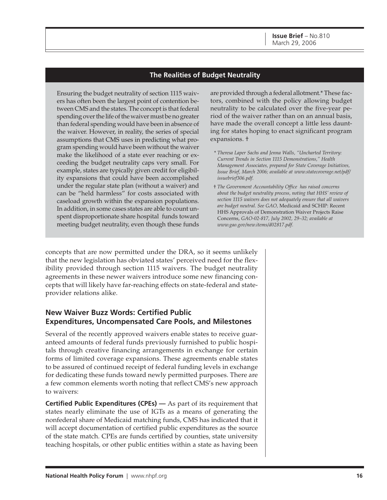#### **The Realities of Budget Neutrality**

Ensuring the budget neutrality of section 1115 waivers has often been the largest point of contention between CMS and the states. The concept is that federal spending over the life of the waiver must be no greater than federal spending would have been in absence of the waiver. However, in reality, the series of special assumptions that CMS uses in predicting what program spending would have been without the waiver make the likelihood of a state ever reaching or exceeding the budget neutrality caps very small. For example, states are typically given credit for eligibility expansions that could have been accomplished under the regular state plan (without a waiver) and can be "held harmless" for costs associated with caseload growth within the expansion populations. In addition, in some cases states are able to count unspent disproportionate share hospital funds toward meeting budget neutrality, even though these funds

are provided through a federal allotment.\* These factors, combined with the policy allowing budget neutrality to be calculated over the five-year period of the waiver rather than on an annual basis, have made the overall concept a little less daunting for states hoping to enact significant program expansions. †

- \* *Theresa Laper Sachs and Jenna Walls, "Uncharted Territory: Current Trends in Section 1115 Demonstrations," Health Management Associates, prepared for State Coverage Initiatives, Issue Brief, March 2006; available at www.statecoverage.net/pdf/ issuebrief306.pdf.*
- † *The Government Accountability Office has raised concerns about the budget neutrality process, noting that HHS' review of section 1115 waivers does not adequately ensure that all waivers are budget neutral. See GAO,* Medicaid and SCHIP: Recent HHS Approvals of Demonstration Waiver Projects Raise Concerns, *GAO-02-817, July 2002, 29–32; available at www.gao.gov/new.items/d02817.pdf.*

concepts that are now permitted under the DRA, so it seems unlikely that the new legislation has obviated states' perceived need for the flexibility provided through section 1115 waivers. The budget neutrality agreements in these newer waivers introduce some new financing concepts that will likely have far-reaching effects on state-federal and stateprovider relations alike.

#### **New Waiver Buzz Words: Certified Public Expenditures, Uncompensated Care Pools, and Milestones**

Several of the recently approved waivers enable states to receive guaranteed amounts of federal funds previously furnished to public hospitals through creative financing arrangements in exchange for certain forms of limited coverage expansions. These agreements enable states to be assured of continued receipt of federal funding levels in exchange for dedicating these funds toward newly permitted purposes. There are a few common elements worth noting that reflect CMS's new approach to waivers:

**Certified Public Expenditures (CPEs)** — As part of its requirement that states nearly eliminate the use of IGTs as a means of generating the nonfederal share of Medicaid matching funds, CMS has indicated that it will accept documentation of certified public expenditures as the source of the state match. CPEs are funds certified by counties, state university teaching hospitals, or other public entities within a state as having been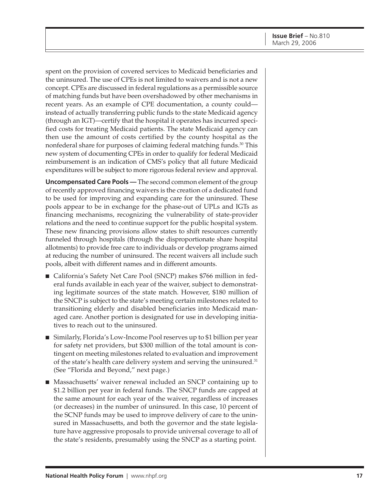spent on the provision of covered services to Medicaid beneficiaries and the uninsured. The use of CPEs is not limited to waivers and is not a new concept. CPEs are discussed in federal regulations as a permissible source of matching funds but have been overshadowed by other mechanisms in recent years. As an example of CPE documentation, a county could instead of actually transferring public funds to the state Medicaid agency (through an IGT)—certify that the hospital it operates has incurred specified costs for treating Medicaid patients. The state Medicaid agency can then use the amount of costs certified by the county hospital as the nonfederal share for purposes of claiming federal matching funds.30 This new system of documenting CPEs in order to qualify for federal Medicaid reimbursement is an indication of CMS's policy that all future Medicaid expenditures will be subject to more rigorous federal review and approval.

**Uncompensated Care Pools —** The second common element of the group of recently approved financing waivers is the creation of a dedicated fund to be used for improving and expanding care for the uninsured. These pools appear to be in exchange for the phase-out of UPLs and IGTs as financing mechanisms, recognizing the vulnerability of state-provider relations and the need to continue support for the public hospital system. These new financing provisions allow states to shift resources currently funneled through hospitals (through the disproportionate share hospital allotments) to provide free care to individuals or develop programs aimed at reducing the number of uninsured. The recent waivers all include such pools, albeit with different names and in different amounts.

- California's Safety Net Care Pool (SNCP) makes \$766 million in federal funds available in each year of the waiver, subject to demonstrating legitimate sources of the state match. However, \$180 million of the SNCP is subject to the state's meeting certain milestones related to transitioning elderly and disabled beneficiaries into Medicaid managed care. Another portion is designated for use in developing initiatives to reach out to the uninsured.
- Similarly, Florida's Low-Income Pool reserves up to \$1 billion per year for safety net providers, but \$300 million of the total amount is contingent on meeting milestones related to evaluation and improvement of the state's health care delivery system and serving the uninsured.<sup>31</sup> (See "Florida and Beyond," next page.)
- Massachusetts' waiver renewal included an SNCP containing up to \$1.2 billion per year in federal funds. The SNCP funds are capped at the same amount for each year of the waiver, regardless of increases (or decreases) in the number of uninsured. In this case, 10 percent of the SCNP funds may be used to improve delivery of care to the uninsured in Massachusetts, and both the governor and the state legislature have aggressive proposals to provide universal coverage to all of the state's residents, presumably using the SNCP as a starting point.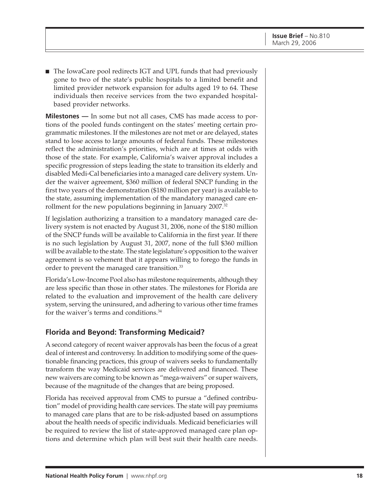■ The IowaCare pool redirects IGT and UPL funds that had previously gone to two of the state's public hospitals to a limited benefit and limited provider network expansion for adults aged 19 to 64. These individuals then receive services from the two expanded hospitalbased provider networks.

**Milestones —** In some but not all cases, CMS has made access to portions of the pooled funds contingent on the states' meeting certain programmatic milestones. If the milestones are not met or are delayed, states stand to lose access to large amounts of federal funds. These milestones reflect the administration's priorities, which are at times at odds with those of the state. For example, California's waiver approval includes a specific progression of steps leading the state to transition its elderly and disabled Medi-Cal beneficiaries into a managed care delivery system. Under the waiver agreement, \$360 million of federal SNCP funding in the first two years of the demonstration (\$180 million per year) is available to the state, assuming implementation of the mandatory managed care enrollment for the new populations beginning in January 2007.<sup>32</sup>

If legislation authorizing a transition to a mandatory managed care delivery system is not enacted by August 31, 2006, none of the \$180 million of the SNCP funds will be available to California in the first year. If there is no such legislation by August 31, 2007, none of the full \$360 million will be available to the state. The state legislature's opposition to the waiver agreement is so vehement that it appears willing to forego the funds in order to prevent the managed care transition.<sup>33</sup>

Florida's Low-Income Pool also has milestone requirements, although they are less specific than those in other states. The milestones for Florida are related to the evaluation and improvement of the health care delivery system, serving the uninsured, and adhering to various other time frames for the waiver's terms and conditions.<sup>34</sup>

#### **Florida and Beyond: Transforming Medicaid?**

A second category of recent waiver approvals has been the focus of a great deal of interest and controversy. In addition to modifying some of the questionable financing practices, this group of waivers seeks to fundamentally transform the way Medicaid services are delivered and financed. These new waivers are coming to be known as "mega-waivers" or super waivers, because of the magnitude of the changes that are being proposed.

Florida has received approval from CMS to pursue a "defined contribution" model of providing health care services. The state will pay premiums to managed care plans that are to be risk-adjusted based on assumptions about the health needs of specific individuals. Medicaid beneficiaries will be required to review the list of state-approved managed care plan options and determine which plan will best suit their health care needs.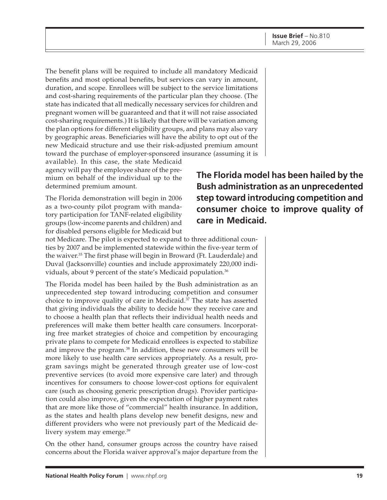The benefit plans will be required to include all mandatory Medicaid benefits and most optional benefits, but services can vary in amount, duration, and scope. Enrollees will be subject to the service limitations and cost-sharing requirements of the particular plan they choose. (The state has indicated that all medically necessary services for children and pregnant women will be guaranteed and that it will not raise associated cost-sharing requirements.) It is likely that there will be variation among the plan options for different eligibility groups, and plans may also vary by geographic areas. Beneficiaries will have the ability to opt out of the new Medicaid structure and use their risk-adjusted premium amount toward the purchase of employer-sponsored insurance (assuming it is

available). In this case, the state Medicaid agency will pay the employee share of the premium on behalf of the individual up to the determined premium amount.

The Florida demonstration will begin in 2006 as a two-county pilot program with mandatory participation for TANF-related eligibility groups (low-income parents and children) and for disabled persons eligible for Medicaid but

not Medicare. The pilot is expected to expand to three additional counties by 2007 and be implemented statewide within the five-year term of the waiver.<sup>35</sup> The first phase will begin in Broward (Ft. Lauderdale) and Duval (Jacksonville) counties and include approximately 220,000 individuals, about 9 percent of the state's Medicaid population.<sup>36</sup>

The Florida model has been hailed by the Bush administration as an unprecedented step toward introducing competition and consumer choice to improve quality of care in Medicaid.<sup>37</sup> The state has asserted that giving individuals the ability to decide how they receive care and to choose a health plan that reflects their individual health needs and preferences will make them better health care consumers. Incorporating free market strategies of choice and competition by encouraging private plans to compete for Medicaid enrollees is expected to stabilize and improve the program.<sup>38</sup> In addition, these new consumers will be more likely to use health care services appropriately. As a result, program savings might be generated through greater use of low-cost preventive services (to avoid more expensive care later) and through incentives for consumers to choose lower-cost options for equivalent care (such as choosing generic prescription drugs). Provider participation could also improve, given the expectation of higher payment rates that are more like those of "commercial" health insurance. In addition, as the states and health plans develop new benefit designs, new and different providers who were not previously part of the Medicaid delivery system may emerge.<sup>39</sup>

On the other hand, consumer groups across the country have raised concerns about the Florida waiver approval's major departure from the

**The Florida model has been hailed by the Bush administration as an unprecedented step toward introducing competition and consumer choice to improve quality of care in Medicaid.**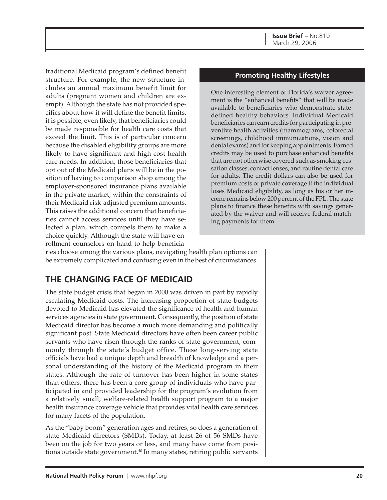**Issue Brief** – No.810 March 29, 2006

traditional Medicaid program's defined benefit structure. For example, the new structure includes an annual maximum benefit limit for adults (pregnant women and children are exempt). Although the state has not provided specifics about how it will define the benefit limits, it is possible, even likely, that beneficiaries could be made responsible for health care costs that exceed the limit. This is of particular concern because the disabled eligibility groups are more likely to have significant and high-cost health care needs. In addition, those beneficiaries that opt out of the Medicaid plans will be in the position of having to comparison shop among the employer-sponsored insurance plans available in the private market, within the constraints of their Medicaid risk-adjusted premium amounts. This raises the additional concern that beneficiaries cannot access services until they have selected a plan, which compels them to make a choice quickly. Although the state will have enrollment counselors on hand to help beneficia-

#### **Promoting Healthy Lifestyles**

One interesting element of Florida's waiver agreement is the "enhanced benefits" that will be made available to beneficiaries who demonstrate statedefined healthy behaviors. Individual Medicaid beneficiaries can earn credits for participating in preventive health activities (mammograms, colorectal screenings, childhood immunizations, vision and dental exams) and for keeping appointments. Earned credits may be used to purchase enhanced benefits that are not otherwise covered such as smoking cessation classes, contact lenses, and routine dental care for adults. The credit dollars can also be used for premium costs of private coverage if the individual loses Medicaid eligibility, as long as his or her income remains below 200 percent of the FPL. The state plans to finance these benefits with savings generated by the waiver and will receive federal matching payments for them.

ries choose among the various plans, navigating health plan options can be extremely complicated and confusing even in the best of circumstances.

# **THE CHANGING FACE OF MEDICAID**

The state budget crisis that began in 2000 was driven in part by rapidly escalating Medicaid costs. The increasing proportion of state budgets devoted to Medicaid has elevated the significance of health and human services agencies in state government. Consequently, the position of state Medicaid director has become a much more demanding and politically significant post. State Medicaid directors have often been career public servants who have risen through the ranks of state government, commonly through the state's budget office. These long-serving state officials have had a unique depth and breadth of knowledge and a personal understanding of the history of the Medicaid program in their states. Although the rate of turnover has been higher in some states than others, there has been a core group of individuals who have participated in and provided leadership for the program's evolution from a relatively small, welfare-related health support program to a major health insurance coverage vehicle that provides vital health care services for many facets of the population.

As the "baby boom" generation ages and retires, so does a generation of state Medicaid directors (SMDs). Today, at least 26 of 56 SMDs have been on the job for two years or less, and many have come from positions outside state government.<sup>40</sup> In many states, retiring public servants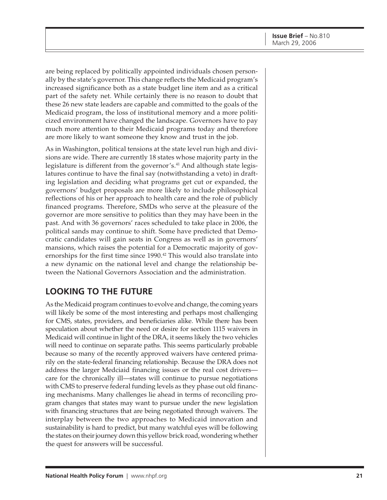are being replaced by politically appointed individuals chosen personally by the state's governor. This change reflects the Medicaid program's increased significance both as a state budget line item and as a critical part of the safety net. While certainly there is no reason to doubt that these 26 new state leaders are capable and committed to the goals of the Medicaid program, the loss of institutional memory and a more politicized environment have changed the landscape. Governors have to pay much more attention to their Medicaid programs today and therefore are more likely to want someone they know and trust in the job.

As in Washington, political tensions at the state level run high and divisions are wide. There are currently 18 states whose majority party in the legislature is different from the governor's.<sup>41</sup> And although state legislatures continue to have the final say (notwithstanding a veto) in drafting legislation and deciding what programs get cut or expanded, the governors' budget proposals are more likely to include philosophical reflections of his or her approach to health care and the role of publicly financed programs. Therefore, SMDs who serve at the pleasure of the governor are more sensitive to politics than they may have been in the past. And with 36 governors' races scheduled to take place in 2006, the political sands may continue to shift. Some have predicted that Democratic candidates will gain seats in Congress as well as in governors' mansions, which raises the potential for a Democratic majority of governorships for the first time since 1990.<sup>42</sup> This would also translate into a new dynamic on the national level and change the relationship between the National Governors Association and the administration.

# **LOOKING TO THE FUTURE**

As the Medicaid program continues to evolve and change, the coming years will likely be some of the most interesting and perhaps most challenging for CMS, states, providers, and beneficiaries alike. While there has been speculation about whether the need or desire for section 1115 waivers in Medicaid will continue in light of the DRA, it seems likely the two vehicles will need to continue on separate paths. This seems particularly probable because so many of the recently approved waivers have centered primarily on the state-federal financing relationship. Because the DRA does not address the larger Medciaid financing issues or the real cost drivers care for the chronically ill—states will continue to pursue negotiations with CMS to preserve federal funding levels as they phase out old financing mechanisms. Many challenges lie ahead in terms of reconciling program changes that states may want to pursue under the new legislation with financing structures that are being negotiated through waivers. The interplay between the two approaches to Medicaid innovation and sustainability is hard to predict, but many watchful eyes will be following the states on their journey down this yellow brick road, wondering whether the quest for answers will be successful.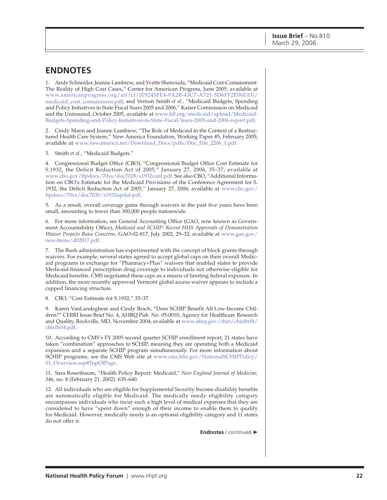## **ENDNOTES**

1. Andy Schneider, Jeanne Lambrew, and Yvette Shenouda, "Medicaid Cost-Containment: The Reality of High Cost Cases," Center for American Progress, June 2005, available at [www.americanprogress.org/atf/cf/{E9245FE4-9A2B-43C7-A521-5D6FF2E06E03}/](http://www.americanprogress.org/atf/cf/{E9245FE4-9A2B-43C7-A521-5D6FF2E06E03}/medicaid_cost_containment.pdf) medicaid\_cost\_containment.pdf; and Vernon Smith *et al.,* "Medicaid Budgets, Spending and Policy Initiatives in State Fiscal Years 2005 and 2006," Kaiser Commission on Medicaid and the Uninsured, October 2005, available at www.kff.org/medicaid/upload/Medicaid-[Budgets-Spending-and-Policy-Initiatives-in-State-Fiscal-Years-2005-and-2006-report.pdf.](http://www.kff.org/medicaid/upload/Medicaid-Budgets-Spending-and-Policy-Initiatives-in-State-Fiscal-Years-2005-and-2006-report.pdf)

2. Cindy Mann and Jeanne Lambrew, "The Role of Medicaid in the Context of a Restructured Health Care System," New America Foundation, Working Paper #5, February 2005; available at [www.newamerica.net/Download\\_Docs/pdfs/Doc\\_File\\_2206\\_1.pdf.](http://www.newamerica.net/Download_Docs/pdfs/Doc_File_2206_1.pdf)

3. Smith *et al.,* "Medicaid Budgets."

4. Congressional Budget Office (CBO), "Congressional Budget Office Cost Estimate for S.1932, the Deficit Reduction Act of 2005," January 27, 2006, 35–37; available at [www.cbo.gov/ftpdocs/70xx/doc7028/s1932conf.pdf.](http://www.cbo.gov/ftpdocs/70xx/doc7028/s1932conf.pdf) See also CBO, "Additional Information on CBO's Estimate for the Medicaid Provisions of the Conference Agreement for S. [1932, the Deficit Reduction Act of 2005," January 27, 2006; available at www.cbo.gov/](http://www.cbo.gov/ftpdocs/70xx/doc7030/s1932updat.pdf) ftpdocs/70xx/doc7030/s1932updat.pdf.

5**.** As a result, overall coverage gains through waivers in the past five years have been small, amounting to fewer than 300,000 people nationwide.

6. For more information, see General Accounting Office (GAO, now known as Government Accountability Office), *Medicaid and SCHIP: Recent HHS Approvals of Demonstration Waiver Projects Raise Concerns,* [GAO-02-817, July 2002, 29–32; available at www.gao.gov/](http://www.gao.gov/new.items/d02817.pdf) new.items/d02817.pdf.

7. The Bush administration has experimented with the concept of block grants through waivers. For example, several states agreed to accept global caps on their overall Medicaid programs in exchange for "Pharmacy+Plus" waivers that enabled states to provide Medicaid-financed prescription drug coverage to individuals not otherwise eligible for Medicaid benefits. CMS negotiated these caps as a means of limiting federal exposure. In addition, the more recently approved Vermont global access waiver appears to include a capped financing structure.

8. CBO, "Cost Estimate for S.1932," 35–37.

9. Karen VanLandeghem and Cindy Brach, "Does SCHIP Benefit All Low-Income Children?" CHIRI Issue Brief No. 4, AHRQ Pub. No. 05-0010, Agency for Healthcare Research [and Quality, Rockville, MD, November 2004; available at www.ahrq.gov/chiri/chiribrf4/](http://www.ahrq.gov/chiri/chiribrf4/chiribrf4.pdf) chiribrf4.pdf.

10. According to CMS's FY 2005 second quarter SCHIP enrollment report, 21 states have taken "combination" approaches to SCHIP, meaning they are operating both a Medicaid expansion and a separate SCHIP program simultaneously. For more information about [SCHIP programs, see the CMS Web site at www.cms.hhs.gov/NationalSCHIPPolicy/](http://www.cms.hhs.gov/NationalSCHIPPolicy/01_Overview.asp#TopOfPage) 01\_Overview.asp#TopOfPage.

11. Sara Rosenbaum, "Health Policy Report: Medicaid," *New England Journal of Medicine,* 346, no. 8 (February 21, 2002): 635–640.

12. All individuals who are eligible for Supplemental Security Income disability benefits are automatically eligible for Medicaid. The medically needy eligibility category encompasses individuals who incur such a high level of medical expenses that they are considered to have "spent down" enough of their income to enable them to qualify for Medicaid. However, medically needy is an optional eligibility category and 11 states do not offer it.

**Endnotes** / continued ➤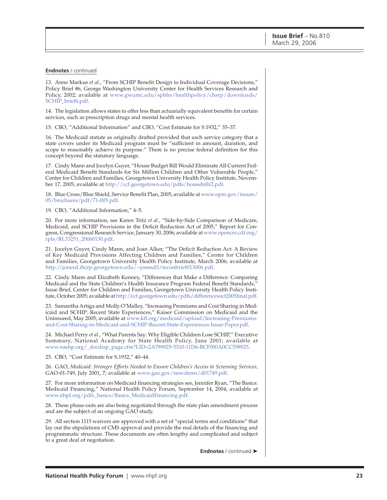#### **Endnotes** / continued

13. Anne Markus *et al.*, "From SCHIP Benefit Design to Individual Coverage Decisions," Policy Brief #6, George Washington University Center for Health Services Research and [Policy, 2002; available at www.gwumc.edu/sphhs/healthpolicy/chsrp/downloads/](http://www.gwumc.edu/sphhs/healthpolicy/chsrp/downloads/SCHIP_brief6.pdf) SCHIP\_brief6.pdf.

14. The legislation allows states to offer less than actuarially equivalent benefits for certain services, such as prescription drugs and mental health services.

15. CBO, "Additional Information" and CBO, "Cost Estimate for S.1932," 35–37.

16. The Medicaid statute as originally drafted provided that each service category that a state covers under its Medicaid program must be "sufficient in amount, duration, and scope to reasonably achieve its purpose." There is no precise federal definition for this concept beyond the statutory language.

17. Cindy Mann and Jocelyn Guyer, "House Budget Bill Would Eliminate All Current Federal Medicaid Benefit Standards for Six Million Children and Other Vulnerable People," Center for Children and Families, Georgetown University Health Policy Institute, November 17, 2005; available a[t http://ccf.georgetown.edu/pdfs/housebillr2.pdf.](http://ccf.georgetown.edu/pdfs/housebillr2.pdf)

[18. Blue Cross/Blue Shield, Service Benefit Plan, 2005; available at www.opm.gov/insure/](http://www.opm.gov/insure/05/brochures/pdf/71-005.pdf) 05/brochures/pdf/71-005.pdf.

19. CBO, "Additional Information," 4–5.

20. For more information, see Karen Tritz *et al.,* "Side-by-Side Comparison of Medicare, Medicaid, and SCHIP Provisions in the Deficit Reduction Act of 2005," Report for Con[gress, Congressional Research Service, January 30, 2006; available at www.opencrs.cdt.org/](http://www.opencrs.cdt.org/rpts/RL33251_20060130.pdf) rpts/RL33251\_20060130.pdf.

21. Jocelyn Guyer, Cindy Mann, and Joan Alker, "The Deficit Reduction Act: A Review of Key Medicaid Provisions Affecting Children and Families," Center for Children and Families, Georgetown University Health Policy Institute, March 2006; available at [http://jonesd.ihcrp.georgetown.edu/~jonesd3/reconbrief013006.pdf.](http://jonesd.ihcrp.georgetown.edu/~jonesd3/reconbrief013006.pdf)

22. Cindy Mann and Elizabeth Kenney, "Differences that Make a Difference: Comparing Medicaid and the State Children's Health Insurance Program Federal Benefit Standards," Issue Brief, Center for Children and Families, Georgetown University Health Policy Institute, October 2005; available a[t http://ccf.georgetown.edu/pdfs/differencesoct2005final.pdf.](http://ccf.georgetown.edu/pdfs/differencesoct2005final.pdf)

23. Samantha Artiga and Molly O'Malley, "Increasing Premiums and Cost Sharing in Medicaid and SCHIP: Recent State Experiences," Kaiser Commission on Medicaid and the [Uninsured, May 2005; available at www.kff.org/medicaid/upload/Increasing-Premiums](http://www.kff.org/medicaid/upload/Increasing-Premiums-and-Cost-Sharing-in-Medicaid-and-SCHIP-Recent-State-Experiences-Issue-Paper.pdf)and-Cost-Sharing-in-Medicaid-and-SCHIP-Recent-State-Experiences-Issue-Paper.pdf.

24. Michael Perry *et al.*, "What Parents Say: Why Eligible Children Lose SCHIP," Executive Summary, National Academy for State Health Policy, June 2001; available at [www.nashp.org/\\_docdisp\\_page.cfm?LID=2A789925-5310-11D6-BCF000A0CC558925.](http://www.nashp.org/_docdisp_page.cfm?LID=2A789925-5310-11D6-BCF000A0CC558925)

25. CBO, "Cost Estimate for S.1932," 40–44.

26. GAO, *Medicaid: Stronger Efforts Needed to Ensure Children's Access to Screening Services,* GAO-01-749, July 2001, 7; available at [www.gao.gov/new.items/d01749.pdf.](http://www.gao.gov/new.items/d01749.pdf)

27. For more information on Medicaid financing strategies see, Jennifer Ryan, "The Basics: Medicaid Financing," National Health Policy Forum, September 14, 2004; available at [www.nhpf.org/pdfs\\_basics/Basics\\_MedicaidFinancing.pdf.](http://www.nhpf.org/pdfs_basics/Basics_MedicaidFinancing.pdf)

28. These phase-outs are also being negotiated through the state plan amendment process and are the subject of an ongoing GAO study.

29. All section 1115 waivers are approved with a set of "special terms and conditions" that lay out the stipulations of CMS approval and provide the real details of the financing and programmatic structure. These documents are often lengthy and complicated and subject to a great deal of negotiation.

**Endnotes** / continued ➤